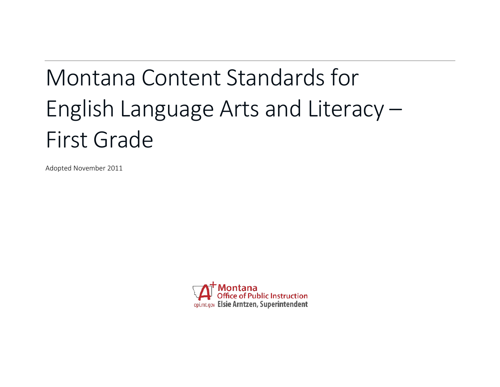# Montana Content Standards for English Language Arts and Literacy – First Grade

Adopted November 2011

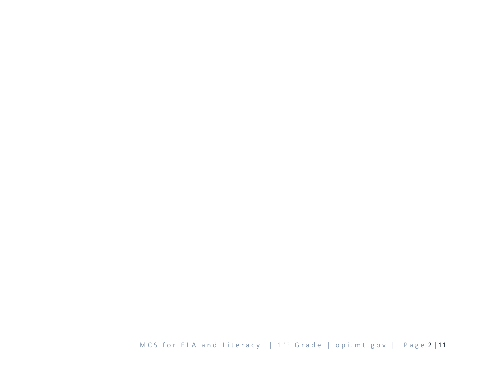MCS for ELA and Literacy | 1<sup>st</sup> Grade | opi.mt.gov | Page 2 | 11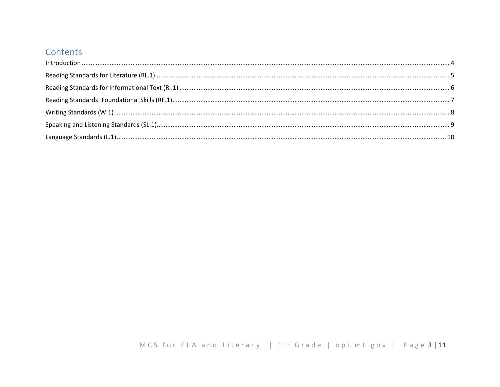# Contents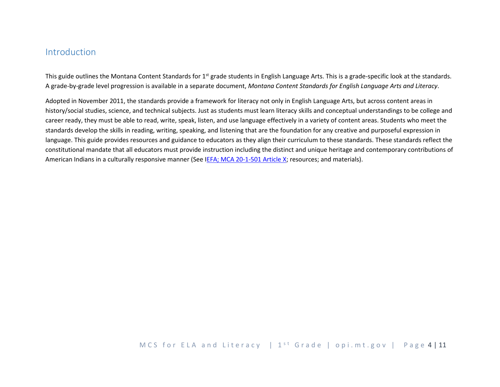# <span id="page-3-0"></span>Introduction

This guide outlines the Montana Content Standards for 1<sup>st</sup> grade students in English Language Arts. This is a grade-specific look at the standards. A grade-by-grade level progression is available in a separate document, *Montana Content Standards for English Language Arts and Literacy*.

Adopted in November 2011, the standards provide a framework for literacy not only in English Language Arts, but across content areas in history/social studies, science, and technical subjects. Just as students must learn literacy skills and conceptual understandings to be college and career ready, they must be able to read, write, speak, listen, and use language effectively in a variety of content areas. Students who meet the standards develop the skills in reading, writing, speaking, and listening that are the foundation for any creative and purposeful expression in language. This guide provides resources and guidance to educators as they align their curriculum to these standards. These standards reflect the constitutional mandate that all educators must provide instruction including the distinct and unique heritage and contemporary contributions of American Indians in a culturally responsive manner (See [IEFA; MCA 20-1-501 Article](http://www.opi.mt.gov/PDF/IndianEd/Resources/ArticleX_IEFA.pdf) X; resources; and materials).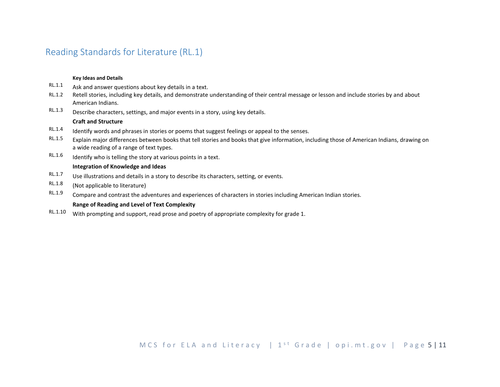# <span id="page-4-0"></span>Reading Standards for Literature (RL.1)

### **Key Ideas and Details**

- RL.1.1 Ask and answer questions about key details in a text.
- RL.1.2 Retell stories, including key details, and demonstrate understanding of their central message or lesson and include stories by and about American Indians.
- RL.1.3 Describe characters, settings, and major events in a story, using key details.

### **Craft and Structure**

- RL.1.4 Identify words and phrases in stories or poems that suggest feelings or appeal to the senses.
- RL.1.5 Explain major differences between books that tell stories and books that give information, including those of American Indians, drawing on a wide reading of a range of text types.
- $RL.1.6$  Identify who is telling the story at various points in a text.

## **Integration of Knowledge and Ideas**

- RL.1.7 Use illustrations and details in a story to describe its characters, setting, or events.
- RL.1.8 (Not applicable to literature)
- RL.1.9 Compare and contrast the adventures and experiences of characters in stories including American Indian stories.

## **Range of Reading and Level of Text Complexity**

RL.1.10 With prompting and support, read prose and poetry of appropriate complexity for grade 1.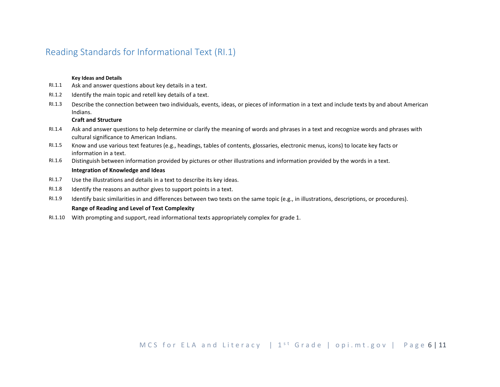# <span id="page-5-0"></span>Reading Standards for Informational Text (RI.1)

#### **Key Ideas and Details**

- RI.1.1 Ask and answer questions about key details in a text.
- RI.1.2 Identify the main topic and retell key details of a text.
- RI.1.3 Describe the connection between two individuals, events, ideas, or pieces of information in a text and include texts by and about American Indians.

# **Craft and Structure**

- RI.1.4 Ask and answer questions to help determine or clarify the meaning of words and phrases in a text and recognize words and phrases with cultural significance to American Indians.
- RI.1.5 Know and use various text features (e.g., headings, tables of contents, glossaries, electronic menus, icons) to locate key facts or information in a text.
- RI.1.6 Distinguish between information provided by pictures or other illustrations and information provided by the words in a text. **Integration of Knowledge and Ideas**
- RI.1.7 Use the illustrations and details in a text to describe its key ideas.
- RI.1.8 Identify the reasons an author gives to support points in a text.
- RI.1.9 Identify basic similarities in and differences between two texts on the same topic (e.g., in illustrations, descriptions, or procedures).

## **Range of Reading and Level of Text Complexity**

RI.1.10 With prompting and support, read informational texts appropriately complex for grade 1.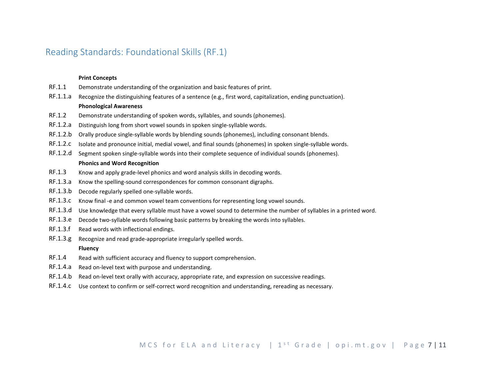# <span id="page-6-0"></span>Reading Standards: Foundational Skills (RF.1)

## **Print Concepts**

- RF.1.1 Demonstrate understanding of the organization and basic features of print.
- RF.1.1.a Recognize the distinguishing features of a sentence (e.g., first word, capitalization, ending punctuation).

# **Phonological Awareness**

- RF.1.2 Demonstrate understanding of spoken words, syllables, and sounds (phonemes).
- RF.1.2.a Distinguish long from short vowel sounds in spoken single-syllable words.
- RF.1.2.b Orally produce single-syllable words by blending sounds (phonemes), including consonant blends.
- RF.1.2.c Isolate and pronounce initial, medial vowel, and final sounds (phonemes) in spoken single-syllable words.
- RF.1.2.d Segment spoken single-syllable words into their complete sequence of individual sounds (phonemes). **Phonics and Word Recognition**
- RF.1.3 Know and apply grade-level phonics and word analysis skills in decoding words.
- RF.1.3.a Know the spelling-sound correspondences for common consonant digraphs.
- RF.1.3.b Decode regularly spelled one-syllable words.
- RF.1.3.c Know final -e and common vowel team conventions for representing long vowel sounds.
- RF.1.3.d Use knowledge that every syllable must have a vowel sound to determine the number of syllables in a printed word.
- RF.1.3.e Decode two-syllable words following basic patterns by breaking the words into syllables.
- RF.1.3.f Read words with inflectional endings.
- RF.1.3.g Recognize and read grade-appropriate irregularly spelled words.

#### **Fluency**

- RF.1.4 Read with sufficient accuracy and fluency to support comprehension.
- RF.1.4.a Read on-level text with purpose and understanding.
- RF.1.4.b Read on-level text orally with accuracy, appropriate rate, and expression on successive readings.
- RF.1.4.c Use context to confirm or self-correct word recognition and understanding, rereading as necessary.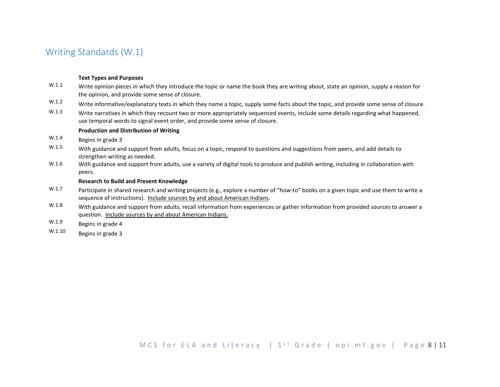# <span id="page-7-0"></span>Writing Standards (W.1)

## **Text Types and Purposes**

- W.1.1 Write opinion pieces in which they introduce the topic or name the book they are writing about, state an opinion, supply a reason for the opinion, and provide some sense of closure.
- W.1.2 Write informative/explanatory texts in which they name a topic, supply some facts about the topic, and provide some sense of closure.
- W.1.3 Write narratives in which they recount two or more appropriately sequenced events, include some details regarding what happened, use temporal words to signal event order, and provide some sense of closure.

# **Production and Distribution of Writing**

- W.1.4 Begins in grade 3
- W.1.5 With guidance and support from adults, focus on a topic, respond to questions and suggestions from peers, and add details to strengthen writing as needed.
- W.1.6 With guidance and support from adults, use a variety of digital tools to produce and publish writing, including in collaboration with peers.

## **Research to Build and Present Knowledge**

- W.1.7 Participate in shared research and writing projects (e.g., explore a number of "how-to" books on a given topic and use them to write a sequence of instructions). Include sources by and about American Indians.
- W.1.8 With guidance and support from adults, recall information from experiences or gather information from provided sources to answer a question. Include sources by and about American Indians.
- W.1.9 Begins in grade 4
- W.1.10 Begins in grade 3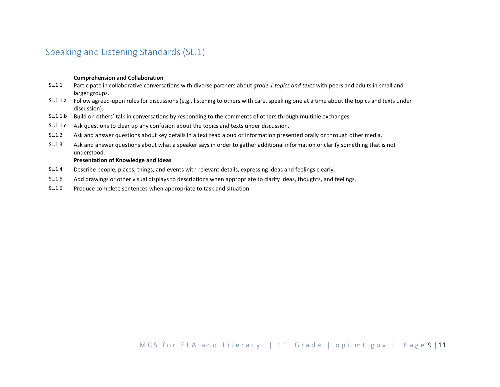# <span id="page-8-0"></span>Speaking and Listening Standards (SL.1)

## **Comprehension and Collaboration**

- SL.1.1 Participate in collaborative conversations with diverse partners about *grade 1 topics and texts* with peers and adults in small and larger groups.
- SL.1.1.a Follow agreed-upon rules for discussions (e.g., listening to others with care, speaking one at a time about the topics and texts under discussion).
- SL.1.1.b Build on others' talk in conversations by responding to the comments of others through multiple exchanges.
- SL.1.1.c Ask questions to clear up any confusion about the topics and texts under discussion.
- SL.1.2 Ask and answer questions about key details in a text read aloud or information presented orally or through other media.
- SL.1.3 Ask and answer questions about what a speaker says in order to gather additional information or clarify something that is not understood.

## **Presentation of Knowledge and Ideas**

- SL.1.4 Describe people, places, things, and events with relevant details, expressing ideas and feelings clearly.
- SL.1.5 Add drawings or other visual displays to descriptions when appropriate to clarify ideas, thoughts, and feelings.
- SL.1.6 Produce complete sentences when appropriate to task and situation.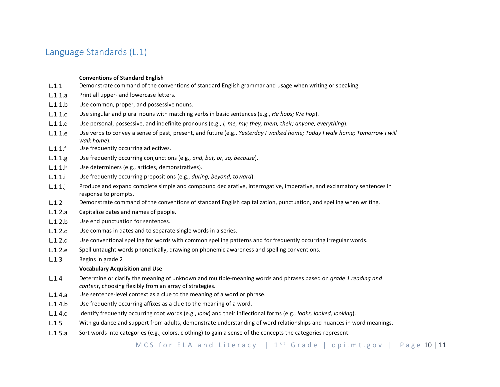# <span id="page-9-0"></span>Language Standards (L.1)

# **Conventions of Standard English**

- L.1.1 Demonstrate command of the conventions of standard English grammar and usage when writing or speaking.
- L.1.1.a Print all upper- and lowercase letters.
- L.1.1.b Use common, proper, and possessive nouns.
- L.1.1.c Use singular and plural nouns with matching verbs in basic sentences (e.g., *He hops; We hop*).
- L.1.1.d Use personal, possessive, and indefinite pronouns (e.g., *I, me, my; they, them, their; anyone, everything*).
- L.1.1.e Use verbs to convey a sense of past, present, and future (e.g., *Yesterday I walked home; Today I walk home; Tomorrow I will walk home*).
- L.1.1.f Use frequently occurring adjectives.
- L.1.1.g Use frequently occurring conjunctions (e.g., *and, but, or, so, because*).
- L.1.1.h Use determiners (e.g., articles, demonstratives).
- L.1.1.i Use frequently occurring prepositions (e.g., *during, beyond, toward*).
- L.1.1.j Produce and expand complete simple and compound declarative, interrogative, imperative, and exclamatory sentences in response to prompts.
- L.1.2 Demonstrate command of the conventions of standard English capitalization, punctuation, and spelling when writing.
- L.1.2.a Capitalize dates and names of people.
- L.1.2.b Use end punctuation for sentences.
- L.1.2.c Use commas in dates and to separate single words in a series.
- L.1.2.d Use conventional spelling for words with common spelling patterns and for frequently occurring irregular words.
- L.1.2.e Spell untaught words phonetically, drawing on phonemic awareness and spelling conventions.
- L.1.3 Begins in grade 2

# **Vocabulary Acquisition and Use**

- L.1.4 Determine or clarify the meaning of unknown and multiple-meaning words and phrases based on *grade 1 reading and content*, choosing flexibly from an array of strategies.
- L.1.4.a Use sentence-level context as a clue to the meaning of a word or phrase.
- L.1.4.b Use frequently occurring affixes as a clue to the meaning of a word.
- L.1.4.c Identify frequently occurring root words (e.g., *look*) and their inflectional forms (e.g., *looks, looked, looking*).
- L.1.5 With guidance and support from adults, demonstrate understanding of word relationships and nuances in word meanings.
- L.1.5.a Sort words into categories (e.g., colors, clothing) to gain a sense of the concepts the categories represent.